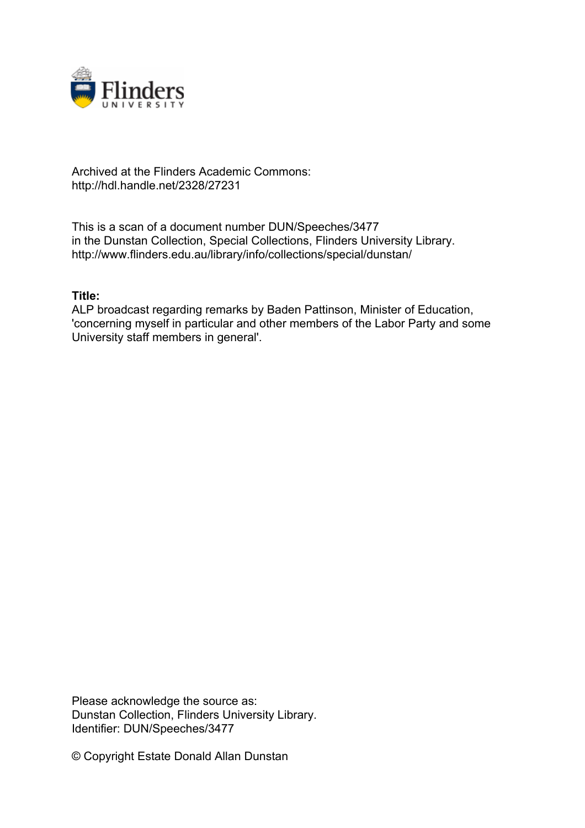

## Archived at the Flinders Academic Commons: http://hdl.handle.net/2328/27231

This is a scan of a document number DUN/Speeches/3477 in the Dunstan Collection, Special Collections, Flinders University Library. http://www.flinders.edu.au/library/info/collections/special/dunstan/

## **Title:**

ALP broadcast regarding remarks by Baden Pattinson, Minister of Education, 'concerning myself in particular and other members of the Labor Party and some University staff members in general'.

Please acknowledge the source as: Dunstan Collection, Flinders University Library. Identifier: DUN/Speeches/3477

© Copyright Estate Donald Allan Dunstan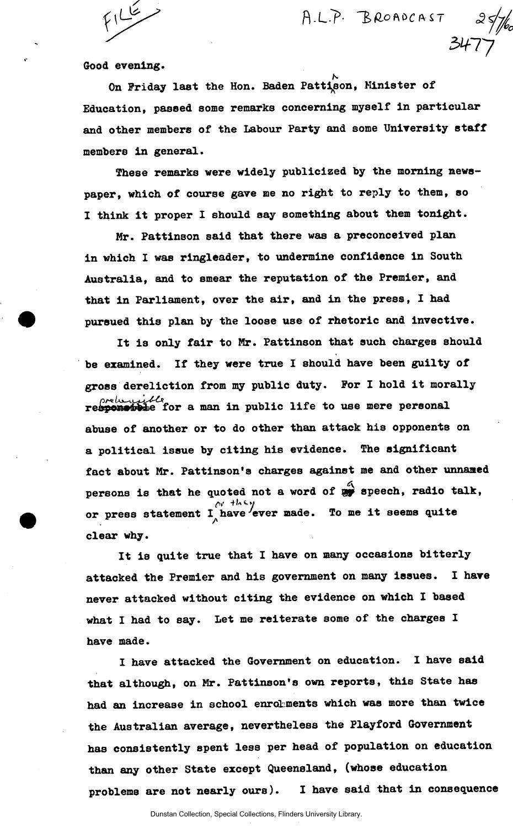$F1/2$ 

**fl-L."?'** *l>flo1\bC(\S.* **7** 

 $34/7$ 

Good evening.

N On Friday last the Hon. Baden Pattison, Minister of Education, passed some remarks concerning myself in particular and other members of the Labour Party and some University staff members in general.

These remarks were widely publicized by the morning newspaper, which of course gave me no right to reply to them, so I think it proper I should say something about them tonight.

Mr. Pattinson said that there was a preconceived plan in which I was ringleader, to undermine confidence in South Australia, and to smear the reputation of the Premier, and that in Parliament, over the air, and in the press, I had pursued this plan by the loose use of rhetoric and invective.

It is only fair to Mr. Pattinson that such charges should be examined. If they were true I should have been guilty of gross dereliction from my public duty. For I hold it morally prebaggible<br>responsible for a man in public life to use mere personal abuse of another or to do other than attack his opponents on a political issue by citing his evidence. The significant fact about Mr. Pattinson's charges against me and other unnamed persons is that he quoted not a word of  $\mathbb{R}$  speech, radio talk, or press statement  $\begin{smallmatrix}\texttt{I} \end{smallmatrix}$  have ever made. To me it seems quite clear why.

It is quite true that I have on many occasions bitterly attacked the Premier and his government on many issues. I have never attacked without citing the evidence on which I based what I had to say. Let me reiterate some of the charges I have made.

I have attacked the Government on education. I have said that although, on Mr. Pattinson's own reports, this State has had an increase in school enroLiments which was more than twice the Australian average, nevertheless the Playford Government has consistently spent less per head of population on education than any other State except Queensland, (whose education problems are not nearly ours). I have said that in consequence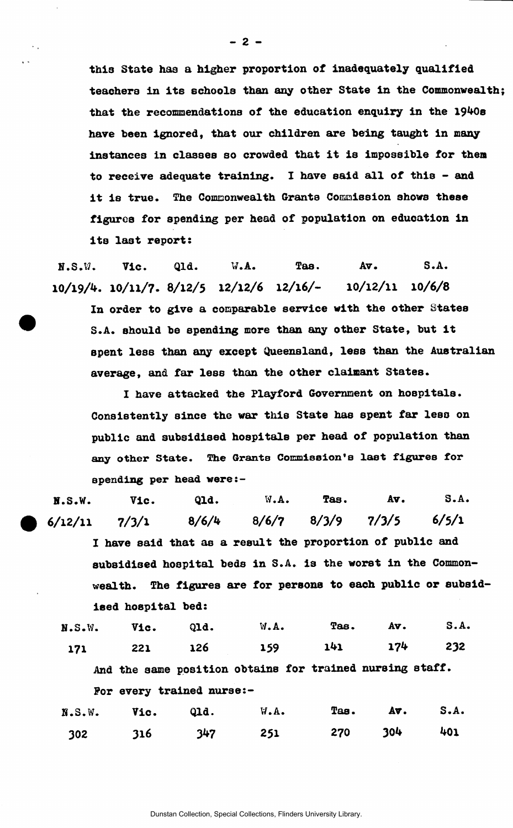this State has a higher proportion of inadequately qualified teachers in its schools than any other State in the Commonwealth; that the recommendations of the education enquiry in the 1940s have been ignored, that our children are being taught in many instances in classes so crowded that it is impossible for them to receive adequate training. I have said all of this - and it is true. The Commonwealth Grants Commission shows these figures for spending per head of population on education in its last report:

H.S.W. Vic. Qld. W.A. Tas. Av. S.A. 10/19/4. 10/11/7. 8/12/5 12/12/6 12/16/- 10/12/11 10/6/8

In order to give a comparable service with the other States S.A. should be spending more than any other State, but it spent less than any except Queensland, less than the Australian average, and far less than the other claimant States.

I have attacked the Playford Government on hospitals. Consistently since the war this State has spent far less on public and subsidised hospitals per head of population than any other State. The Grants Commission's last figures for spending per head were:-

H.S.W. Vic. Qld. W.A. Tas. Av. S.A. **6/12/11** 7/3/1 8/6/4 8/6/7 8/3/9 7/3/5 **6/5/1**  I have said that as a result the proportion of public and subsidised hospital beds in S.A. is the worst in the Commonwealth. The figures are for persons to each public or subsidised hospital bed:

|  | N.S.W. Vic. Qld. W.A. Tas. Av. S.A. |  |  |
|--|-------------------------------------|--|--|
|  | 171 221 126 159 141 174 232         |  |  |

And the same position obtains for trained nursing staff. For every trained nurse:-

|  | $N.S.W.$ Vic. Q1d. W.A. Tas. Av. S.A. |  |  |
|--|---------------------------------------|--|--|
|  | 302 316 347 251 270 304 401           |  |  |

 $-2-$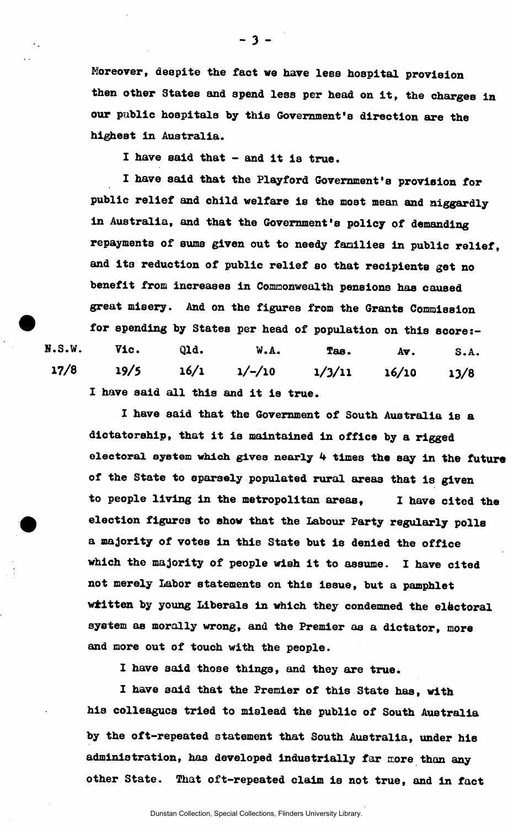Moreover, despite the fact we have less hospital provision then other States and spend less per head on it, the charges in our public hospitals by this Government's direction are the highest in Australia.

I have said that - and it is true.

I have said that the Playford Government's provision for public relief and child welfare is the most mean and niggardly in Australia, and that the Government's policy of demanding repayments of sums given out to needy families in public relief, and its reduction of public relief so that recipients get no benefit from increases in Commonwealth pensions has caused great misery. And on the figures from the Grants Commission for spending by States per head of population on this score:- H.S.W. Vic. Qld. W.A. Tas. Av. S.A. **17/8** 19/5 **16/1 1/-/10 l/3/ll 16/10 13/8**  I have said all this and it is true.

I have said that the Government of South Australia is a dictatorship, that it is maintained in office by a rigged electoral system which gives nearly 4 times the say in the future of the State to sparsely populated rural areas that is given to people living in the metropolitan areas, I have cited the election figures to show that the labour Party regularly polls a majority of votes in this State but is denied the office which the majority of people wish it to assume. I have cited not merely Labor statements on this issue, but a pamphlet wiitten by young Liberals in which they condemned the electoral system as morally wrong, and the Premier as a dictator, more and more out of touch with the people.

I have said those things, and they are true.

I have said that the Premier of this State has, with his colleagues tried to mislead the public of South Australia by the oft-repeated statement that South Australia, under hie administration, has developed industrially far more than any other State. That oft-repeated claim is not true, and in fact

**- 3 -**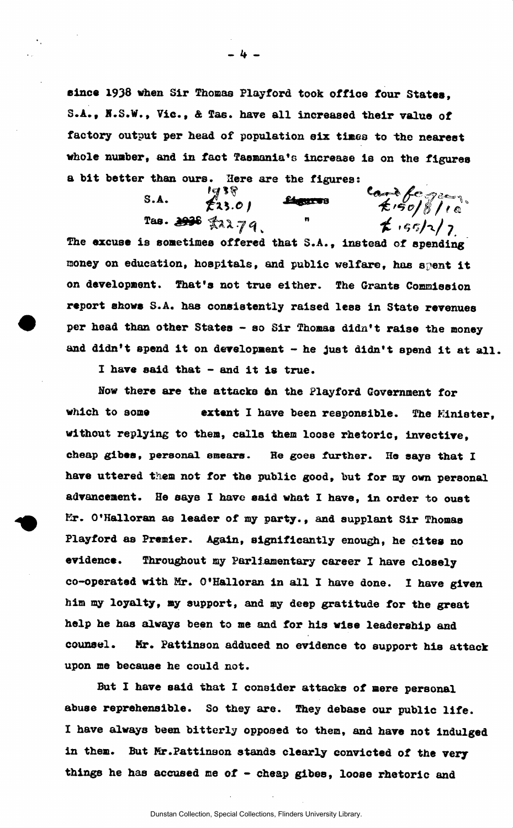since 1938 when Sir Thomas Playford took office four States, S.A., N.S.W., Vic., & Tas. have all increased their value of factory output per head of population six times to the nearest whole number, and in fact Tasmania's increase is on the figures

a bit better than ours. Here are the figures:<br>
S.A.  $\overbrace{23.0}^{1938}$   $\overbrace{23.0}^{248}$   $\overbrace{23.0}^{248}$   $\overbrace{23.0}^{248}$  $S.A.$ **Linguit WB** Tas. 2006 x22.79  $f(1, 5, 5/2)$ 

money on education, hospitals, and public welfare, has spent it on development. That's not true either. The Grants Commission report shows S.A. has consistently raised less in State revenues per head than other States - so Sir Thomas didn't raise the money and didn't spend it on development - he Just didn't spend it at all. The excuse is sometimes offered that S.A., instead of spending

I have said that - and it is true.

How there are the attacks 6n the Playford Government for which to some **extent** I have been responsible. The Minister. without replying to them, calls them loose rhetoric, invective, cheap gibes, personal smears. He goes further. He says that I have uttered them not for the public good, but for my own personal advancement. He says I have said what I have, in order to oust Kr. O'Halloran as leader of *my* party., and supplant Sir Thomas Playford as Premier. Again, significantly enough, he cites no evidence. Throughout my Parliamentary career I have closely co-operated with Mr. O'Halloran in all I have done. I have given him my loyalty, my support, and my deep gratitude for the great help he has always been to me and for his wise leadership and counsel. Kr. Pattinson addueed no evidence to support his attack upon me because he could not.

But I have said that I consider attacks of mere personal abuse reprehensible. So they are. They debase our public life. I have always been bitterly opposed to them, and have not Indulged in them. But Kr.Pattinson stands clearly convicted of the very things he has accused me of - cheap gibes, loose rhetoric and